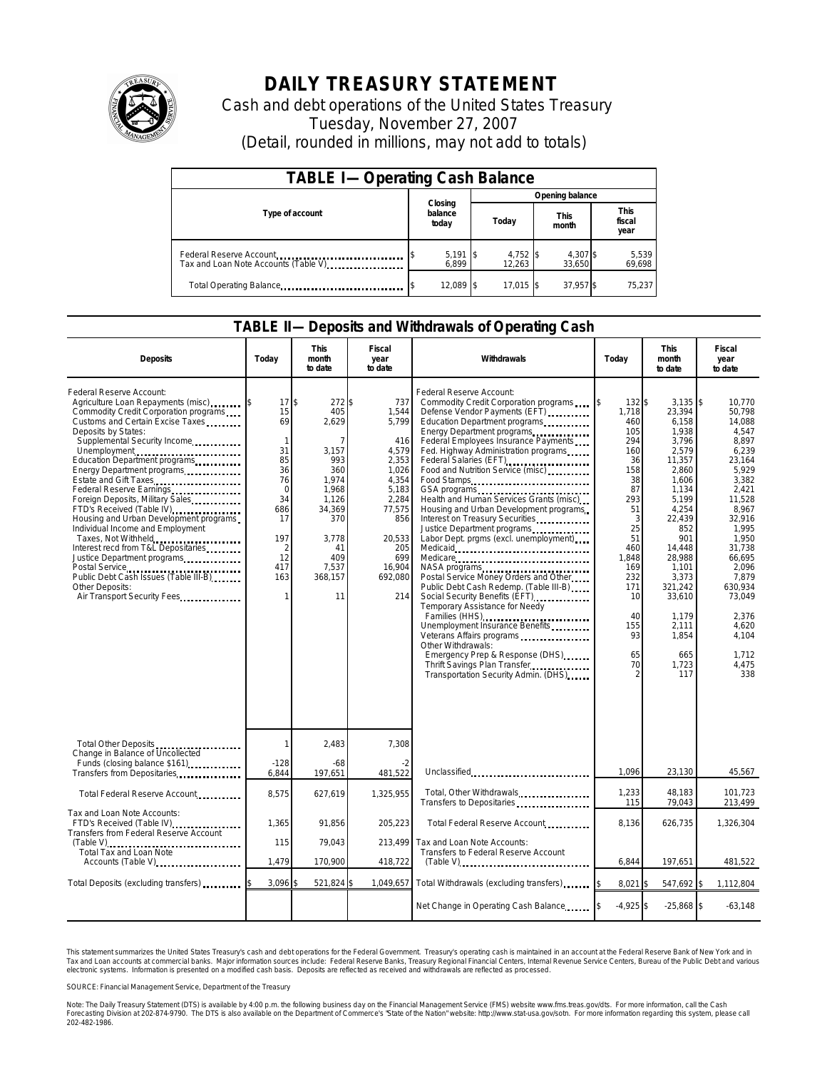

## **DAILY TREASURY STATEMENT**

Cash and debt operations of the United States Treasury Tuesday, November 27, 2007 (Detail, rounded in millions, may not add to totals)

| <b>TABLE I-Operating Cash Balance</b>                           |                             |                    |                      |                               |  |  |  |
|-----------------------------------------------------------------|-----------------------------|--------------------|----------------------|-------------------------------|--|--|--|
|                                                                 |                             | Opening balance    |                      |                               |  |  |  |
| Type of account                                                 | Closing<br>balance<br>today | Today              | <b>This</b><br>month | <b>This</b><br>fiscal<br>year |  |  |  |
| Federal Reserve Account<br>Tax and Loan Note Accounts (Table V) | $5,191$ \\$<br>6.899        | 4,752 \$<br>12.263 | 4,307 \$<br>33.650   | 5,539<br>69,698               |  |  |  |
| Total Operating Balance                                         | 12,089 \$                   | 17.015 \$          | 37.957 \$            | 75,237                        |  |  |  |

## **TABLE II—Deposits and Withdrawals of Operating Cash**

| <b>Deposits</b>                                                                                                                                                                                                                                                                                                                                                                                                                                                                                                                                                                                                                                                                   | Todav                                                                                                                         | <b>This</b><br>month<br>to date                                                                                                                      | Fiscal<br>year<br>to date                                                                                                                               | Withdrawals                                                                                                                                                                                                                                                                                                                                                                                                                                                                                                                                                                                                                                                                                                                                                                                                                                                                                                                                                                                                                                  | Today                                                                                                                                                                             | <b>This</b><br>month<br>to date                                                                                                                                                                                                                      | Fiscal<br>year<br>to date                                                                                                                                                                                                                                |
|-----------------------------------------------------------------------------------------------------------------------------------------------------------------------------------------------------------------------------------------------------------------------------------------------------------------------------------------------------------------------------------------------------------------------------------------------------------------------------------------------------------------------------------------------------------------------------------------------------------------------------------------------------------------------------------|-------------------------------------------------------------------------------------------------------------------------------|------------------------------------------------------------------------------------------------------------------------------------------------------|---------------------------------------------------------------------------------------------------------------------------------------------------------|----------------------------------------------------------------------------------------------------------------------------------------------------------------------------------------------------------------------------------------------------------------------------------------------------------------------------------------------------------------------------------------------------------------------------------------------------------------------------------------------------------------------------------------------------------------------------------------------------------------------------------------------------------------------------------------------------------------------------------------------------------------------------------------------------------------------------------------------------------------------------------------------------------------------------------------------------------------------------------------------------------------------------------------------|-----------------------------------------------------------------------------------------------------------------------------------------------------------------------------------|------------------------------------------------------------------------------------------------------------------------------------------------------------------------------------------------------------------------------------------------------|----------------------------------------------------------------------------------------------------------------------------------------------------------------------------------------------------------------------------------------------------------|
| Federal Reserve Account:<br>Agriculture Loan Repayments (misc) [\$<br>Commodity Credit Corporation programs<br>Customs and Certain Excise Taxes<br>Deposits by States:<br>Supplemental Security Income<br>Unemployment<br>Education Department programs<br>Energy Department programs<br>Estate and Gift Taxes<br>Federal Reserve Earnings<br>Foreign Deposits, Military Sales<br>FTD's Received (Table IV)<br>Housing and Urban Development programs<br>Individual Income and Employment<br>Taxes, Not Withheld<br>Interest recd from T&L Depositaries<br>Justice Department programs<br>Public Debt Cash Issues (Table III-B)<br>Other Deposits:<br>Air Transport Security Fees | 17<br>15<br>69<br>$\mathbf{1}$<br>31<br>85<br>36<br>76<br>$\mathbf 0$<br>34<br>686<br>17<br>197<br>2<br>12<br>417<br>163<br>1 | \$<br>272 \$<br>405<br>2,629<br>7<br>3,157<br>993<br>360<br>1.974<br>1,968<br>1,126<br>34,369<br>370<br>3,778<br>41<br>409<br>7,537<br>368,157<br>11 | 737<br>1,544<br>5,799<br>416<br>4,579<br>2,353<br>1,026<br>4,354<br>5,183<br>2,284<br>77,575<br>856<br>20,533<br>205<br>699<br>16,904<br>692,080<br>214 | Federal Reserve Account:<br>Commodity Credit Corporation programs<br>Defense Vendor Payments (EFT)<br>Education Department programs<br>Energy Department programs<br>Federal Employees Insurance Payments<br>Fed. Highway Administration programs<br>Federal Salaries (EFT)<br>1999: 1999: 1999: 1999: 1999: 1999: 1999: 1999: 1999: 1999: 1999: 1999: 1999: 1999: 1999: 1999: 1999: 1999: 1<br>Food and Nutrition Service (misc)<br>Food Stamps<br>Health and Human Services Grants (misc)<br>Housing and Urban Development programs<br>Interest on Treasury Securities<br>Justice Department programs<br>Labor Dept. prgms (excl. unemployment)<br>NASA programs<br>Postal Service Money Orders and Other<br>Public Debt Cash Redemp. (Table III-B)<br>Social Security Benefits (EFT)<br>Temporary Assistance for Needy<br>Families (HHS)<br>Unemployment Insurance Benefits<br>Veterans Affairs programs<br>Other Withdrawals:<br>Emergency Prep & Response (DHS)<br>Thrift Savings Plan Transfer<br>Transportation Security Admin. (DHS) | I\$<br>132S<br>1.718<br>460<br>105<br>294<br>160<br>36<br>158<br>38<br>87<br>293<br>51<br>3<br>25<br>51<br>460<br>1,848<br>169<br>232<br>171<br>10<br>40<br>155<br>93<br>65<br>70 | $3,135$ \$<br>23,394<br>6,158<br>1,938<br>3.796<br>2,579<br>11,357<br>2,860<br>1,606<br>1,134<br>5,199<br>4,254<br>22,439<br>852<br>901<br>14,448<br>28,988<br>1,101<br>3,373<br>321,242<br>33,610<br>1.179<br>2,111<br>1,854<br>665<br>1,723<br>117 | 10.770<br>50.798<br>14,088<br>4.547<br>8.897<br>6,239<br>23,164<br>5,929<br>3.382<br>2,421<br>11,528<br>8,967<br>32,916<br>1,995<br>1,950<br>31.738<br>66,695<br>2,096<br>7.879<br>630,934<br>73.049<br>2.376<br>4,620<br>4.104<br>1,712<br>4,475<br>338 |
| Total Other Deposits<br>Change in Balance of Uncollected                                                                                                                                                                                                                                                                                                                                                                                                                                                                                                                                                                                                                          | 1                                                                                                                             | 2,483                                                                                                                                                | 7,308                                                                                                                                                   |                                                                                                                                                                                                                                                                                                                                                                                                                                                                                                                                                                                                                                                                                                                                                                                                                                                                                                                                                                                                                                              |                                                                                                                                                                                   |                                                                                                                                                                                                                                                      |                                                                                                                                                                                                                                                          |
| Funds (closing balance \$161)<br>Transfers from Depositaries                                                                                                                                                                                                                                                                                                                                                                                                                                                                                                                                                                                                                      | $-128$<br>6,844                                                                                                               | $-68$<br>197,651                                                                                                                                     | 481,522                                                                                                                                                 | Unclassified                                                                                                                                                                                                                                                                                                                                                                                                                                                                                                                                                                                                                                                                                                                                                                                                                                                                                                                                                                                                                                 | 1.096                                                                                                                                                                             | 23,130                                                                                                                                                                                                                                               | 45,567                                                                                                                                                                                                                                                   |
| Total Federal Reserve Account                                                                                                                                                                                                                                                                                                                                                                                                                                                                                                                                                                                                                                                     | 8,575                                                                                                                         | 627,619                                                                                                                                              | 1.325.955                                                                                                                                               | Total, Other Withdrawals<br>Transfers to Depositaries                                                                                                                                                                                                                                                                                                                                                                                                                                                                                                                                                                                                                                                                                                                                                                                                                                                                                                                                                                                        | 1,233<br>115                                                                                                                                                                      | 48.183<br>79,043                                                                                                                                                                                                                                     | 101.723<br>213,499                                                                                                                                                                                                                                       |
| Tax and Loan Note Accounts:<br>FTD's Received (Table IV)<br>Transfers from Federal Reserve Account                                                                                                                                                                                                                                                                                                                                                                                                                                                                                                                                                                                | 1,365                                                                                                                         | 91.856                                                                                                                                               | 205,223                                                                                                                                                 | Total Federal Reserve Account                                                                                                                                                                                                                                                                                                                                                                                                                                                                                                                                                                                                                                                                                                                                                                                                                                                                                                                                                                                                                | 8.136                                                                                                                                                                             | 626,735                                                                                                                                                                                                                                              | 1,326,304                                                                                                                                                                                                                                                |
| $(Table V)$<br>Total Tax and Loan Note                                                                                                                                                                                                                                                                                                                                                                                                                                                                                                                                                                                                                                            | 115                                                                                                                           | 79,043                                                                                                                                               | 213,499                                                                                                                                                 | Tax and Loan Note Accounts:<br>Transfers to Federal Reserve Account                                                                                                                                                                                                                                                                                                                                                                                                                                                                                                                                                                                                                                                                                                                                                                                                                                                                                                                                                                          |                                                                                                                                                                                   |                                                                                                                                                                                                                                                      |                                                                                                                                                                                                                                                          |
| Accounts (Table V)                                                                                                                                                                                                                                                                                                                                                                                                                                                                                                                                                                                                                                                                | 1.479                                                                                                                         | 170.900                                                                                                                                              | 418,722                                                                                                                                                 | $(Table V)$                                                                                                                                                                                                                                                                                                                                                                                                                                                                                                                                                                                                                                                                                                                                                                                                                                                                                                                                                                                                                                  | 6.844                                                                                                                                                                             | 197.651                                                                                                                                                                                                                                              | 481,522                                                                                                                                                                                                                                                  |
| Total Deposits (excluding transfers)                                                                                                                                                                                                                                                                                                                                                                                                                                                                                                                                                                                                                                              | 3,096                                                                                                                         | 521,824 \$                                                                                                                                           | 1,049,657                                                                                                                                               | Total Withdrawals (excluding transfers)                                                                                                                                                                                                                                                                                                                                                                                                                                                                                                                                                                                                                                                                                                                                                                                                                                                                                                                                                                                                      | $8.021$ \$                                                                                                                                                                        | 547,692 \$                                                                                                                                                                                                                                           | 1.112.804                                                                                                                                                                                                                                                |
|                                                                                                                                                                                                                                                                                                                                                                                                                                                                                                                                                                                                                                                                                   |                                                                                                                               |                                                                                                                                                      |                                                                                                                                                         | Net Change in Operating Cash Balance                                                                                                                                                                                                                                                                                                                                                                                                                                                                                                                                                                                                                                                                                                                                                                                                                                                                                                                                                                                                         | $-4,925$ \$                                                                                                                                                                       | $-25,868$ \$                                                                                                                                                                                                                                         | $-63,148$                                                                                                                                                                                                                                                |

This statement summarizes the United States Treasury's cash and debt operations for the Federal Government. Treasury's operating cash is maintained in an account at the Federal Reserve Bank of New York and in<br>Tax and Loan narizes the United States Treasury's cash and debt operations for the Federal Government. Treasury's operating cash is maintained in an account at the Federal Reserve Bank of New York and in<br>ints at commercial banks. Major

SOURCE: Financial Management Service, Department of the Treasury

Note: The Daily Treasury Statement (DTS) is available by 4:00 p.m. the following business day on the Financial Management Service (FMS) website www.fms.treas.gov/dts. For more information, call the Cash<br>Forecasting Divisio 202-482-1986.